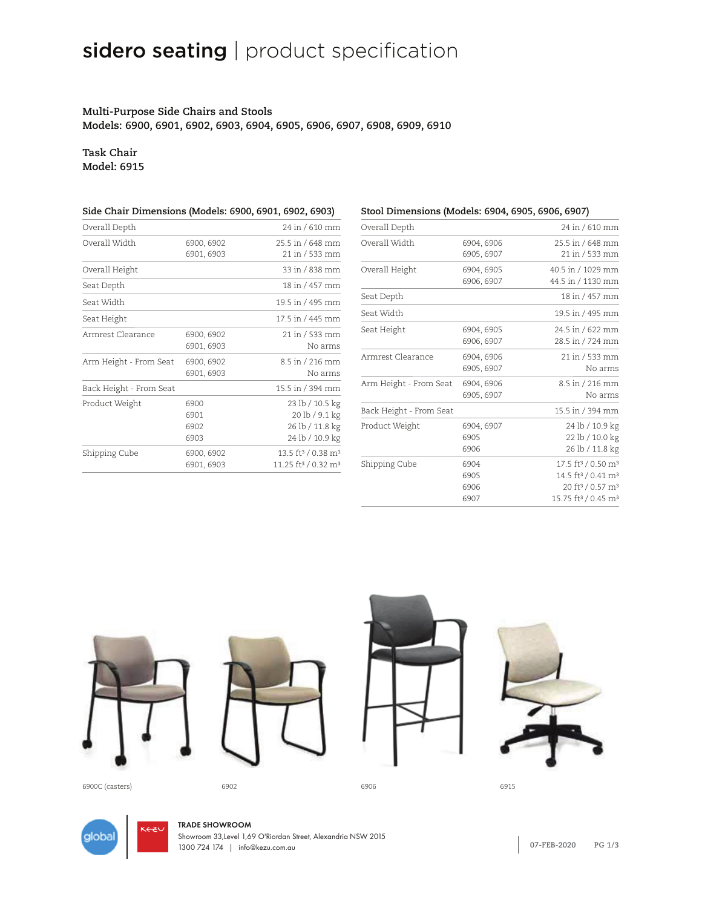# sidero seating | product specification

## **Multi-Purpose Side Chairs and Stools Models: 6900, 6901, 6902, 6903, 6904, 6905, 6906, 6907, 6908, 6909, 6910**

## **Task Chair Model: 6915**

| Side Chair Dimensions (Models: 6900, 6901, 6902, 6903) |                              |                                                                                           |  |
|--------------------------------------------------------|------------------------------|-------------------------------------------------------------------------------------------|--|
| Overall Depth                                          |                              | 24 in / 610 mm                                                                            |  |
| Overall Width                                          | 6900, 6902<br>6901, 6903     | 25.5 in / 648 mm<br>21 in / 533 mm                                                        |  |
| Overall Height                                         |                              | 33 in / 838 mm                                                                            |  |
| Seat Depth                                             |                              | 18 in / 457 mm                                                                            |  |
| Seat Width                                             |                              | 19.5 in / 495 mm                                                                          |  |
| Seat Height                                            |                              | $17.5$ in / 445 mm                                                                        |  |
| Armrest Clearance                                      | 6900, 6902<br>6901, 6903     | 21 in / 533 mm<br>No arms                                                                 |  |
| Arm Height - From Seat                                 | 6900, 6902<br>6901, 6903     | 8.5 in / 216 mm<br>No arms                                                                |  |
| Back Height - From Seat                                |                              | 15.5 in / 394 mm                                                                          |  |
| Product Weight                                         | 6900<br>6901<br>6902<br>6903 | 23 lb / 10.5 kg<br>20 lb / 9.1 kg<br>26 lb / 11.8 kg<br>24 lb / 10.9 kg                   |  |
| Shipping Cube                                          | 6900, 6902<br>6901, 6903     | 13.5 ft <sup>3</sup> / 0.38 m <sup>3</sup><br>11.25 ft <sup>3</sup> / 0.32 m <sup>3</sup> |  |

| Stool Dimensions (Models: 6904, 6905, 6906, 6907) |                              |                                                                                                                                                                                     |  |
|---------------------------------------------------|------------------------------|-------------------------------------------------------------------------------------------------------------------------------------------------------------------------------------|--|
| Overall Depth                                     |                              | 24 in / 610 mm                                                                                                                                                                      |  |
| Overall Width                                     | 6904, 6906<br>6905, 6907     | 25.5 in / 648 mm<br>21 in / 533 mm                                                                                                                                                  |  |
| Overall Height                                    | 6904, 6905<br>6906, 6907     | 40.5 in / 1029 mm<br>44.5 in / 1130 mm                                                                                                                                              |  |
| Seat Depth                                        |                              | 18 in / 457 mm                                                                                                                                                                      |  |
| Seat Width                                        |                              | 19.5 in / 495 mm                                                                                                                                                                    |  |
| Seat Height                                       | 6904, 6905<br>6906, 6907     | 24.5 in / 622 mm<br>28.5 in / 724 mm                                                                                                                                                |  |
| Armrest Clearance                                 | 6904, 6906<br>6905, 6907     | 21 in / 533 mm<br>No arms                                                                                                                                                           |  |
| Arm Height - From Seat                            | 6904, 6906<br>6905, 6907     | 8.5 in / 216 mm<br>No arms                                                                                                                                                          |  |
| Back Height - From Seat                           |                              | 15.5 in / 394 mm                                                                                                                                                                    |  |
| Product Weight                                    | 6904, 6907<br>6905<br>6906   | 24 lb / 10.9 kg<br>22 lb / 10.0 kg<br>26 lb / 11.8 kg                                                                                                                               |  |
| Shipping Cube                                     | 6904<br>6905<br>6906<br>6907 | 17.5 ft <sup>3</sup> / 0.50 m <sup>3</sup><br>14.5 ft <sup>3</sup> / 0.41 m <sup>3</sup><br>20 ft <sup>3</sup> / 0.57 m <sup>3</sup><br>15.75 ft <sup>3</sup> / 0.45 m <sup>3</sup> |  |



6900C (casters) 6902 6906 6915



**1.800.220.1900 USA 1.877.446.2251 CAN GLOBALFURNITUREGROUP.COM 07-FEB-2020 PG 1/3** 1300 724 174 | info@kezu.com.auTRADE SHOWROOM Showroom 33,Level 1,69 O'Riordan Street, Alexandria NSW 2015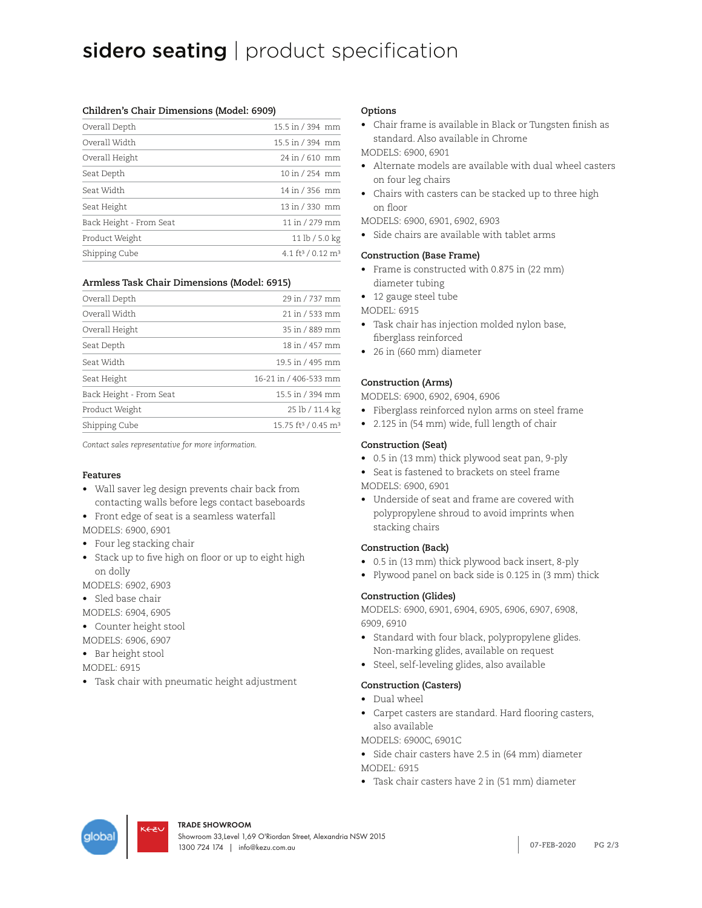## sidero seating | product specification

#### **Children's Chair Dimensions (Model: 6909)**

| Overall Depth           | 15.5 in / 394 mm                          |
|-------------------------|-------------------------------------------|
| Overall Width           | 15.5 in / 394 mm                          |
| Overall Height          | 24 in / 610 mm                            |
| Seat Depth              | 10 in / 254 mm                            |
| Seat Width              | 14 in / 356 mm                            |
| Seat Height             | 13 in / 330 mm                            |
| Back Height - From Seat | 11 in / 279 mm                            |
| Product Weight          | 11 lb / 5.0 kg                            |
| Shipping Cube           | 4.1 ft <sup>3</sup> / 0.12 m <sup>3</sup> |

#### **Armless Task Chair Dimensions (Model: 6915)**

| Overall Depth           | 29 in / 737 mm                              |
|-------------------------|---------------------------------------------|
| Overall Width           | 21 in / 533 mm                              |
| Overall Height          | 35 in / 889 mm                              |
| Seat Depth              | 18 in / 457 mm                              |
| Seat Width              | 19.5 in / 495 mm                            |
| Seat Height             | 16-21 in / 406-533 mm                       |
| Back Height - From Seat | 15.5 in / 394 mm                            |
| Product Weight          | 25 lb / 11.4 kg                             |
| Shipping Cube           | 15.75 ft <sup>3</sup> / 0.45 m <sup>3</sup> |
|                         |                                             |

*Contact sales representative for more information.*

#### **Features**

- Wall saver leg design prevents chair back from contacting walls before legs contact baseboards
- Front edge of seat is a seamless waterfall
- MODELS: 6900, 6901
- Four leg stacking chair
- Stack up to five high on floor or up to eight high on dolly

MODELS: 6902, 6903

• Sled base chair

MODELS: 6904, 6905

- Counter height stool
- MODELS: 6906, 6907
- Bar height stool
- MODEL: 6915
- Task chair with pneumatic height adjustment

#### **Options**

• Chair frame is available in Black or Tungsten finish as standard. Also available in Chrome MODELS: 6900, 6901

- Alternate models are available with dual wheel casters on four leg chairs
- Chairs with casters can be stacked up to three high on floor
- MODELS: 6900, 6901, 6902, 6903
- Side chairs are available with tablet arms

#### **Construction (Base Frame)**

- Frame is constructed with 0.875 in (22 mm) diameter tubing
- 12 gauge steel tube

MODEL: 6915

- Task chair has injection molded nylon base, fiberglass reinforced
- 26 in (660 mm) diameter

#### **Construction (Arms)**

MODELS: 6900, 6902, 6904, 6906

- Fiberglass reinforced nylon arms on steel frame
- 2.125 in (54 mm) wide, full length of chair

#### **Construction (Seat)**

- 0.5 in (13 mm) thick plywood seat pan, 9-ply
- Seat is fastened to brackets on steel frame
- MODELS: 6900, 6901
- Underside of seat and frame are covered with polypropylene shroud to avoid imprints when stacking chairs

#### **Construction (Back)**

- 0.5 in (13 mm) thick plywood back insert, 8-ply
- Plywood panel on back side is 0.125 in (3 mm) thick

#### **Construction (Glides)**

MODELS: 6900, 6901, 6904, 6905, 6906, 6907, 6908, 6909, 6910

- Standard with four black, polypropylene glides. Non-marking glides, available on request
- Steel, self-leveling glides, also available

#### **Construction (Casters)**

- Dual wheel
- Carpet casters are standard. Hard flooring casters, also available

MODELS: 6900C, 6901C

- Side chair casters have 2.5 in (64 mm) diameter MODEL: 6915
- Task chair casters have 2 in (51 mm) diameter